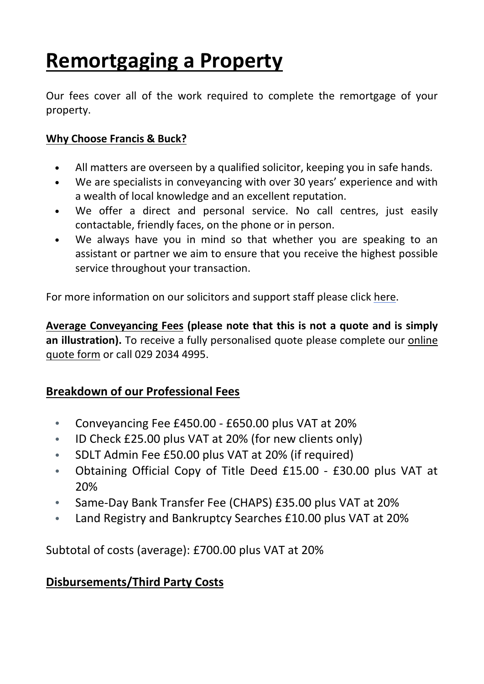# **Remortgaging a Property**

Our fees cover all of the work required to complete the remortgage of your property.

#### **Why Choose Francis & Buck?**

- **•** All matters are overseen by a qualified solicitor, keeping you in safe hands.
- **•** We are specialists in conveyancing with over 30 years' experience and with a wealth of local knowledge and an excellent reputation.
- **•** We offer a direct and personal service. No call centres, just easily contactable, friendly faces, on the phone or in person.
- **•** We always have you in mind so that whether you are speaking to an assistant or partner we aim to ensure that you receive the highest possible service throughout your transaction.

For more information on our solicitors and support staff please click [here.](http://francisandbuck.co.uk/meet-the-team/)

**Average Conveyancing Fees (please note that this is not a quote and is simply an illustration).** To receive a fully personalised quote please complete our [online](http://francisandbuck.co.uk/contact-us/) [quote](http://francisandbuck.co.uk/contact-us/) form or call 029 2034 4995.

### **Breakdown of our Professional Fees**

- Conveyancing Fee £450.00 £650.00 plus VAT at 20%
- ID Check £25.00 plus VAT at 20% (for new clients only)
- SDLT Admin Fee £50.00 plus VAT at 20% (if required)
- Obtaining Official Copy of Title Deed £15.00 £30.00 plus VAT at 20%
- Same-Day Bank Transfer Fee (CHAPS) £35.00 plus VAT at 20%
- Land Registry and Bankruptcy Searches £10.00 plus VAT at 20%

Subtotal of costs (average): £700.00 plus VAT at 20%

### **Disbursements/Third Party Costs**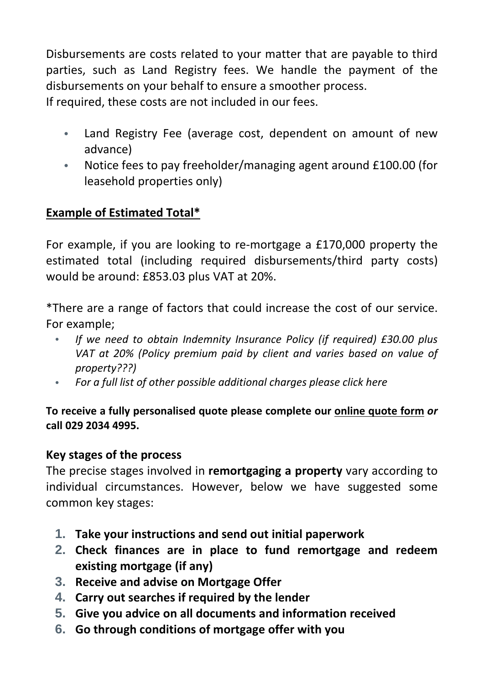Disbursements are costs related to your matter that are payable to third parties, such as Land Registry fees. We handle the payment of the disbursements on your behalf to ensure a smoother process. If required, these costs are not included in our fees.

- Land Registry Fee (average cost, dependent on amount of new advance)
- Notice fees to pay freeholder/managing agent around £100.00 (for leasehold properties only)

## **Example of Estimated Total\***

For example, if you are looking to re-mortgage a £170,000 property the estimated total (including required disbursements/third party costs) would be around: £853.03 plus VAT at 20%.

\*There are a range of factors that could increase the cost of our service. For example;

- *If we need to obtain Indemnity Insurance Policy (if required) £30.00 plus VAT at 20% (Policy premium paid by client and varies based on value of property???)*
- *For a full list of other possible additional charges please click here*

### **To receive a fully personalised quote please complete our [online](http://francisandbuck.co.uk/contact-us/) quote form** *or* **call 029 2034 4995.**

### **Key stages of the process**

The precise stages involved in **remortgaging a property** vary according to individual circumstances. However, below we have suggested some common key stages:

- **1. Take your instructions and send out initial paperwork**
- **2. Check finances are in place to fund remortgage and redeem existing mortgage (if any)**
- **3. Receive and advise on Mortgage Offer**
- **4. Carry out searches if required by the lender**
- **5. Give you advice on all documents and information received**
- **6. Go through conditions of mortgage offer with you**